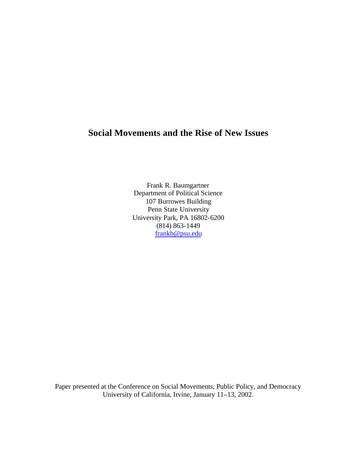# **Social Movements and the Rise of New Issues**

Frank R. Baumgartner Department of Political Science 107 Burrowes Building Penn State University University Park, PA 16802-6200 (814) 863-1449 frankb@psu.edu

Paper presented at the Conference on Social Movements, Public Policy, and Democracy University of California, Irvine, January 11–13, 2002.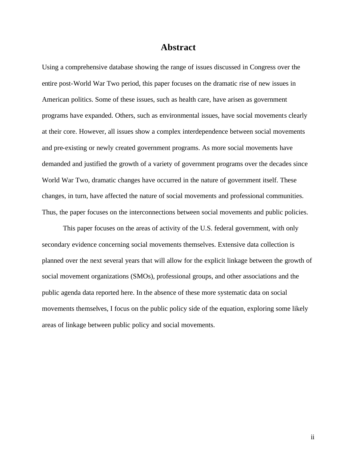## **Abstract**

Using a comprehensive database showing the range of issues discussed in Congress over the entire post-World War Two period, this paper focuses on the dramatic rise of new issues in American politics. Some of these issues, such as health care, have arisen as government programs have expanded. Others, such as environmental issues, have social movements clearly at their core. However, all issues show a complex interdependence between social movements and pre-existing or newly created government programs. As more social movements have demanded and justified the growth of a variety of government programs over the decades since World War Two, dramatic changes have occurred in the nature of government itself. These changes, in turn, have affected the nature of social movements and professional communities. Thus, the paper focuses on the interconnections between social movements and public policies.

This paper focuses on the areas of activity of the U.S. federal government, with only secondary evidence concerning social movements themselves. Extensive data collection is planned over the next several years that will allow for the explicit linkage between the growth of social movement organizations (SMOs), professional groups, and other associations and the public agenda data reported here. In the absence of these more systematic data on social movements themselves, I focus on the public policy side of the equation, exploring some likely areas of linkage between public policy and social movements.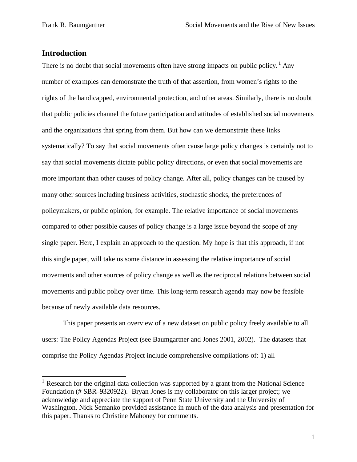## **Introduction**

 $\overline{a}$ 

There is no doubt that social movements often have strong impacts on public policy.<sup>1</sup> Any number of examples can demonstrate the truth of that assertion, from women's rights to the rights of the handicapped, environmental protection, and other areas. Similarly, there is no doubt that public policies channel the future participation and attitudes of established social movements and the organizations that spring from them. But how can we demonstrate these links systematically? To say that social movements often cause large policy changes is certainly not to say that social movements dictate public policy directions, or even that social movements are more important than other causes of policy change. After all, policy changes can be caused by many other sources including business activities, stochastic shocks, the preferences of policymakers, or public opinion, for example. The relative importance of social movements compared to other possible causes of policy change is a large issue beyond the scope of any single paper. Here, I explain an approach to the question. My hope is that this approach, if not this single paper, will take us some distance in assessing the relative importance of social movements and other sources of policy change as well as the reciprocal relations between social movements and public policy over time. This long-term research agenda may now be feasible because of newly available data resources.

This paper presents an overview of a new dataset on public policy freely available to all users: The Policy Agendas Project (see Baumgartner and Jones 2001, 2002). The datasets that comprise the Policy Agendas Project include comprehensive compilations of: 1) all

<sup>&</sup>lt;sup>1</sup> Research for the original data collection was supported by a grant from the National Science Foundation (# SBR–9320922). Bryan Jones is my collaborator on this larger project; we acknowledge and appreciate the support of Penn State University and the University of Washington. Nick Semanko provided assistance in much of the data analysis and presentation for this paper. Thanks to Christine Mahoney for comments.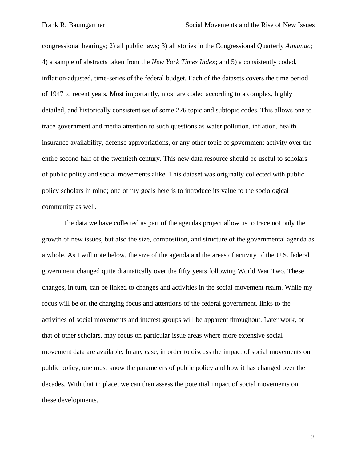congressional hearings; 2) all public laws; 3) all stories in the Congressional Quarterly *Almanac*; 4) a sample of abstracts taken from the *New York Times Index*; and 5) a consistently coded, inflation-adjusted, time-series of the federal budget. Each of the datasets covers the time period of 1947 to recent years. Most importantly, most are coded according to a complex, highly detailed, and historically consistent set of some 226 topic and subtopic codes. This allows one to trace government and media attention to such questions as water pollution, inflation, health insurance availability, defense appropriations, or any other topic of government activity over the entire second half of the twentieth century. This new data resource should be useful to scholars of public policy and social movements alike. This dataset was originally collected with public policy scholars in mind; one of my goals here is to introduce its value to the sociological community as well.

The data we have collected as part of the agendas project allow us to trace not only the growth of new issues, but also the size, composition, and structure of the governmental agenda as a whole. As I will note below, the size of the agenda and the areas of activity of the U.S. federal government changed quite dramatically over the fifty years following World War Two. These changes, in turn, can be linked to changes and activities in the social movement realm. While my focus will be on the changing focus and attentions of the federal government, links to the activities of social movements and interest groups will be apparent throughout. Later work, or that of other scholars, may focus on particular issue areas where more extensive social movement data are available. In any case, in order to discuss the impact of social movements on public policy, one must know the parameters of public policy and how it has changed over the decades. With that in place, we can then assess the potential impact of social movements on these developments.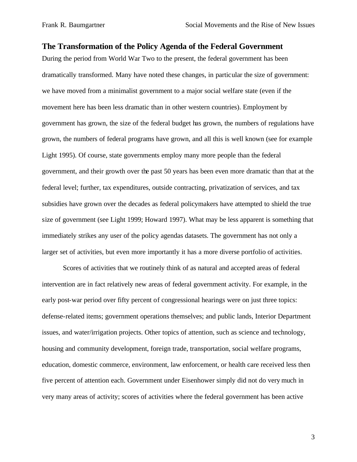## **The Transformation of the Policy Agenda of the Federal Government**

During the period from World War Two to the present, the federal government has been dramatically transformed. Many have noted these changes, in particular the size of government: we have moved from a minimalist government to a major social welfare state (even if the movement here has been less dramatic than in other western countries). Employment by government has grown, the size of the federal budget has grown, the numbers of regulations have grown, the numbers of federal programs have grown, and all this is well known (see for example Light 1995). Of course, state governments employ many more people than the federal government, and their growth over the past 50 years has been even more dramatic than that at the federal level; further, tax expenditures, outside contracting, privatization of services, and tax subsidies have grown over the decades as federal policymakers have attempted to shield the true size of government (see Light 1999; Howard 1997). What may be less apparent is something that immediately strikes any user of the policy agendas datasets. The government has not only a larger set of activities, but even more importantly it has a more diverse portfolio of activities.

Scores of activities that we routinely think of as natural and accepted areas of federal intervention are in fact relatively new areas of federal government activity. For example, in the early post-war period over fifty percent of congressional hearings were on just three topics: defense-related items; government operations themselves; and public lands, Interior Department issues, and water/irrigation projects. Other topics of attention, such as science and technology, housing and community development, foreign trade, transportation, social welfare programs, education, domestic commerce, environment, law enforcement, or health care received less then five percent of attention each. Government under Eisenhower simply did not do very much in very many areas of activity; scores of activities where the federal government has been active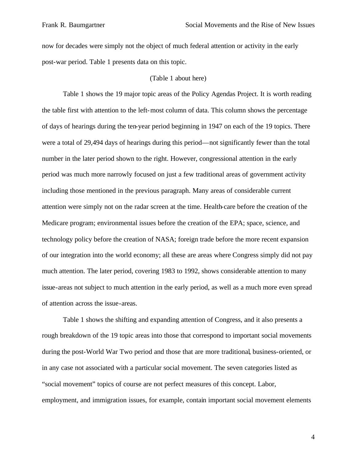now for decades were simply not the object of much federal attention or activity in the early post-war period. Table 1 presents data on this topic.

#### (Table 1 about here)

Table 1 shows the 19 major topic areas of the Policy Agendas Project. It is worth reading the table first with attention to the left-most column of data. This column shows the percentage of days of hearings during the ten-year period beginning in 1947 on each of the 19 topics. There were a total of 29,494 days of hearings during this period—not significantly fewer than the total number in the later period shown to the right. However, congressional attention in the early period was much more narrowly focused on just a few traditional areas of government activity including those mentioned in the previous paragraph. Many areas of considerable current attention were simply not on the radar screen at the time. Health-care before the creation of the Medicare program; environmental issues before the creation of the EPA; space, science, and technology policy before the creation of NASA; foreign trade before the more recent expansion of our integration into the world economy; all these are areas where Congress simply did not pay much attention. The later period, covering 1983 to 1992, shows considerable attention to many issue-areas not subject to much attention in the early period, as well as a much more even spread of attention across the issue-areas.

Table 1 shows the shifting and expanding attention of Congress, and it also presents a rough breakdown of the 19 topic areas into those that correspond to important social movements during the post-World War Two period and those that are more traditional, business-oriented, or in any case not associated with a particular social movement. The seven categories listed as "social movement" topics of course are not perfect measures of this concept. Labor, employment, and immigration issues, for example, contain important social movement elements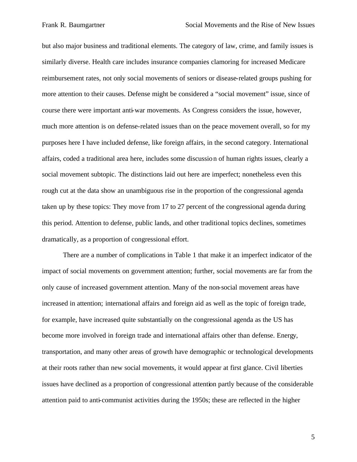but also major business and traditional elements. The category of law, crime, and family issues is similarly diverse. Health care includes insurance companies clamoring for increased Medicare reimbursement rates, not only social movements of seniors or disease-related groups pushing for more attention to their causes. Defense might be considered a "social movement" issue, since of course there were important anti-war movements. As Congress considers the issue, however, much more attention is on defense-related issues than on the peace movement overall, so for my purposes here I have included defense, like foreign affairs, in the second category. International affairs, coded a traditional area here, includes some discussion of human rights issues, clearly a social movement subtopic. The distinctions laid out here are imperfect; nonetheless even this rough cut at the data show an unambiguous rise in the proportion of the congressional agenda taken up by these topics: They move from 17 to 27 percent of the congressional agenda during this period. Attention to defense, public lands, and other traditional topics declines, sometimes dramatically, as a proportion of congressional effort.

There are a number of complications in Table 1 that make it an imperfect indicator of the impact of social movements on government attention; further, social movements are far from the only cause of increased government attention. Many of the non-social movement areas have increased in attention; international affairs and foreign aid as well as the topic of foreign trade, for example, have increased quite substantially on the congressional agenda as the US has become more involved in foreign trade and international affairs other than defense. Energy, transportation, and many other areas of growth have demographic or technological developments at their roots rather than new social movements, it would appear at first glance. Civil liberties issues have declined as a proportion of congressional attention partly because of the considerable attention paid to anti-communist activities during the 1950s; these are reflected in the higher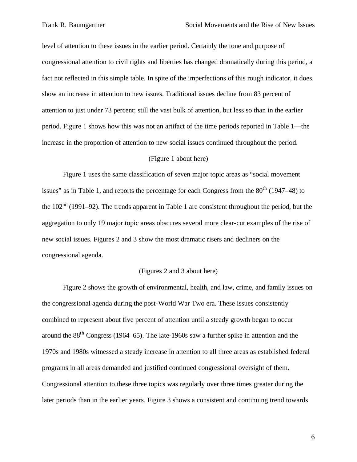level of attention to these issues in the earlier period. Certainly the tone and purpose of congressional attention to civil rights and liberties has changed dramatically during this period, a fact not reflected in this simple table. In spite of the imperfections of this rough indicator, it does show an increase in attention to new issues. Traditional issues decline from 83 percent of attention to just under 73 percent; still the vast bulk of attention, but less so than in the earlier period. Figure 1 shows how this was not an artifact of the time periods reported in Table 1—the increase in the proportion of attention to new social issues continued throughout the period.

### (Figure 1 about here)

Figure 1 uses the same classification of seven major topic areas as "social movement issues" as in Table 1, and reports the percentage for each Congress from the  $80<sup>th</sup>$  (1947–48) to the  $102<sup>nd</sup>$  (1991–92). The trends apparent in Table 1 are consistent throughout the period, but the aggregation to only 19 major topic areas obscures several more clear-cut examples of the rise of new social issues. Figures 2 and 3 show the most dramatic risers and decliners on the congressional agenda.

#### (Figures 2 and 3 about here)

Figure 2 shows the growth of environmental, health, and law, crime, and family issues on the congressional agenda during the post-World War Two era. These issues consistently combined to represent about five percent of attention until a steady growth began to occur around the 88th Congress (1964–65). The late-1960s saw a further spike in attention and the 1970s and 1980s witnessed a steady increase in attention to all three areas as established federal programs in all areas demanded and justified continued congressional oversight of them. Congressional attention to these three topics was regularly over three times greater during the later periods than in the earlier years. Figure 3 shows a consistent and continuing trend towards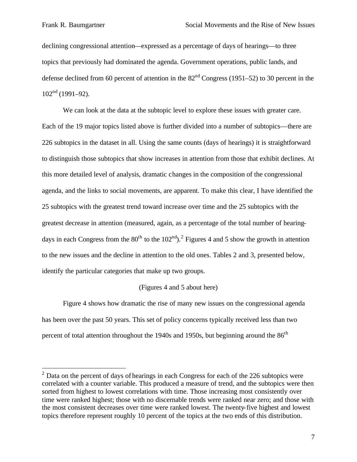$\overline{a}$ 

declining congressional attention—expressed as a percentage of days of hearings—to three topics that previously had dominated the agenda. Government operations, public lands, and defense declined from 60 percent of attention in the  $82<sup>nd</sup>$  Congress (1951–52) to 30 percent in the  $102<sup>nd</sup>$  (1991–92).

We can look at the data at the subtopic level to explore these issues with greater care. Each of the 19 major topics listed above is further divided into a number of subtopics—there are 226 subtopics in the dataset in all. Using the same counts (days of hearings) it is straightforward to distinguish those subtopics that show increases in attention from those that exhibit declines. At this more detailed level of analysis, dramatic changes in the composition of the congressional agenda, and the links to social movements, are apparent. To make this clear, I have identified the 25 subtopics with the greatest trend toward increase over time and the 25 subtopics with the greatest decrease in attention (measured, again, as a percentage of the total number of hearingdays in each Congress from the  $80^{th}$  to the  $102^{nd}$ ).<sup>2</sup> Figures 4 and 5 show the growth in attention to the new issues and the decline in attention to the old ones. Tables 2 and 3, presented below, identify the particular categories that make up two groups.

#### (Figures 4 and 5 about here)

Figure 4 shows how dramatic the rise of many new issues on the congressional agenda has been over the past 50 years. This set of policy concerns typically received less than two percent of total attention throughout the  $1940s$  and  $1950s$ , but beginning around the  $86<sup>th</sup>$ 

 $2$  Data on the percent of days of hearings in each Congress for each of the 226 subtopics were correlated with a counter variable. This produced a measure of trend, and the subtopics were then sorted from highest to lowest correlations with time. Those increasing most consistently over time were ranked highest; those with no discernable trends were ranked near zero; and those with the most consistent decreases over time were ranked lowest. The twenty-five highest and lowest topics therefore represent roughly 10 percent of the topics at the two ends of this distribution.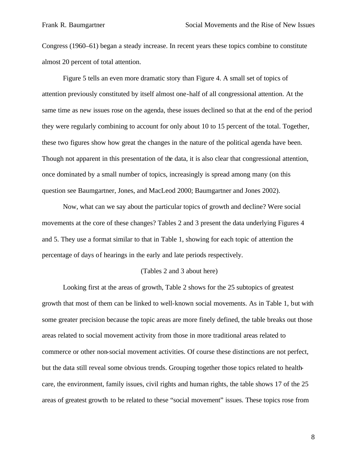Congress (1960–61) began a steady increase. In recent years these topics combine to constitute almost 20 percent of total attention.

Figure 5 tells an even more dramatic story than Figure 4. A small set of topics of attention previously constituted by itself almost one-half of all congressional attention. At the same time as new issues rose on the agenda, these issues declined so that at the end of the period they were regularly combining to account for only about 10 to 15 percent of the total. Together, these two figures show how great the changes in the nature of the political agenda have been. Though not apparent in this presentation of the data, it is also clear that congressional attention, once dominated by a small number of topics, increasingly is spread among many (on this question see Baumgartner, Jones, and MacLeod 2000; Baumgartner and Jones 2002).

Now, what can we say about the particular topics of growth and decline? Were social movements at the core of these changes? Tables 2 and 3 present the data underlying Figures 4 and 5. They use a format similar to that in Table 1, showing for each topic of attention the percentage of days of hearings in the early and late periods respectively.

### (Tables 2 and 3 about here)

Looking first at the areas of growth, Table 2 shows for the 25 subtopics of greatest growth that most of them can be linked to well-known social movements. As in Table 1, but with some greater precision because the topic areas are more finely defined, the table breaks out those areas related to social movement activity from those in more traditional areas related to commerce or other non-social movement activities. Of course these distinctions are not perfect, but the data still reveal some obvious trends. Grouping together those topics related to healthcare, the environment, family issues, civil rights and human rights, the table shows 17 of the 25 areas of greatest growth to be related to these "social movement" issues. These topics rose from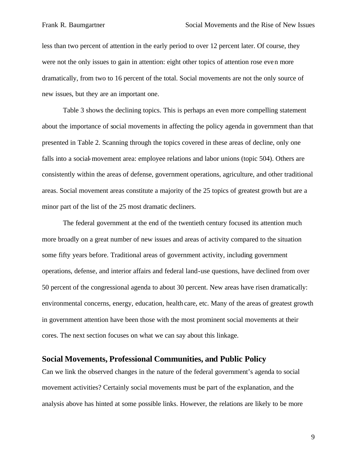less than two percent of attention in the early period to over 12 percent later. Of course, they were not the only issues to gain in attention: eight other topics of attention rose even more dramatically, from two to 16 percent of the total. Social movements are not the only source of new issues, but they are an important one.

Table 3 shows the declining topics. This is perhaps an even more compelling statement about the importance of social movements in affecting the policy agenda in government than that presented in Table 2. Scanning through the topics covered in these areas of decline, only one falls into a social-movement area: employee relations and labor unions (topic 504). Others are consistently within the areas of defense, government operations, agriculture, and other traditional areas. Social movement areas constitute a majority of the 25 topics of greatest growth but are a minor part of the list of the 25 most dramatic decliners.

The federal government at the end of the twentieth century focused its attention much more broadly on a great number of new issues and areas of activity compared to the situation some fifty years before. Traditional areas of government activity, including government operations, defense, and interior affairs and federal land-use questions, have declined from over 50 percent of the congressional agenda to about 30 percent. New areas have risen dramatically: environmental concerns, energy, education, health care, etc. Many of the areas of greatest growth in government attention have been those with the most prominent social movements at their cores. The next section focuses on what we can say about this linkage.

## **Social Movements, Professional Communities, and Public Policy**

Can we link the observed changes in the nature of the federal government's agenda to social movement activities? Certainly social movements must be part of the explanation, and the analysis above has hinted at some possible links. However, the relations are likely to be more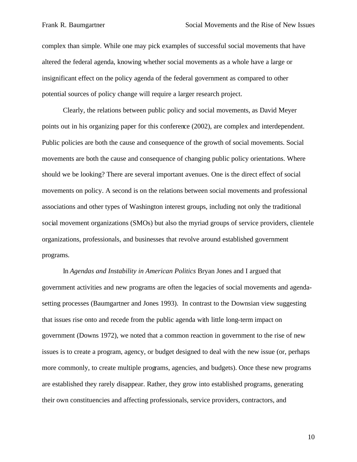complex than simple. While one may pick examples of successful social movements that have altered the federal agenda, knowing whether social movements as a whole have a large or insignificant effect on the policy agenda of the federal government as compared to other potential sources of policy change will require a larger research project.

Clearly, the relations between public policy and social movements, as David Meyer points out in his organizing paper for this conference (2002), are complex and interdependent. Public policies are both the cause and consequence of the growth of social movements. Social movements are both the cause and consequence of changing public policy orientations. Where should we be looking? There are several important avenues. One is the direct effect of social movements on policy. A second is on the relations between social movements and professional associations and other types of Washington interest groups, including not only the traditional social movement organizations (SMOs) but also the myriad groups of service providers, clientele organizations, professionals, and businesses that revolve around established government programs.

In *Agendas and Instability in American Politics* Bryan Jones and I argued that government activities and new programs are often the legacies of social movements and agendasetting processes (Baumgartner and Jones 1993). In contrast to the Downsian view suggesting that issues rise onto and recede from the public agenda with little long-term impact on government (Downs 1972), we noted that a common reaction in government to the rise of new issues is to create a program, agency, or budget designed to deal with the new issue (or, perhaps more commonly, to create multiple programs, agencies, and budgets). Once these new programs are established they rarely disappear. Rather, they grow into established programs, generating their own constituencies and affecting professionals, service providers, contractors, and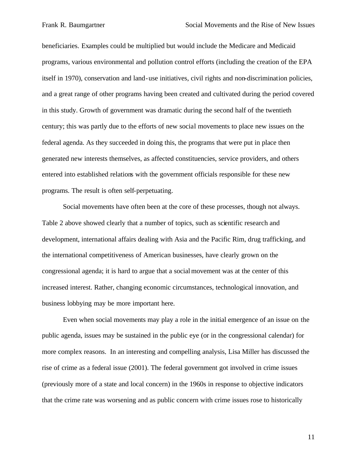beneficiaries. Examples could be multiplied but would include the Medicare and Medicaid programs, various environmental and pollution control efforts (including the creation of the EPA itself in 1970), conservation and land-use initiatives, civil rights and non-discrimination policies, and a great range of other programs having been created and cultivated during the period covered in this study. Growth of government was dramatic during the second half of the twentieth century; this was partly due to the efforts of new social movements to place new issues on the federal agenda. As they succeeded in doing this, the programs that were put in place then generated new interests themselves, as affected constituencies, service providers, and others entered into established relations with the government officials responsible for these new programs. The result is often self-perpetuating.

Social movements have often been at the core of these processes, though not always. Table 2 above showed clearly that a number of topics, such as scientific research and development, international affairs dealing with Asia and the Pacific Rim, drug trafficking, and the international competitiveness of American businesses, have clearly grown on the congressional agenda; it is hard to argue that a social movement was at the center of this increased interest. Rather, changing economic circumstances, technological innovation, and business lobbying may be more important here.

Even when social movements may play a role in the initial emergence of an issue on the public agenda, issues may be sustained in the public eye (or in the congressional calendar) for more complex reasons. In an interesting and compelling analysis, Lisa Miller has discussed the rise of crime as a federal issue (2001). The federal government got involved in crime issues (previously more of a state and local concern) in the 1960s in response to objective indicators that the crime rate was worsening and as public concern with crime issues rose to historically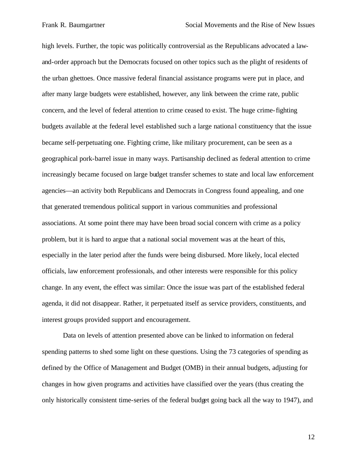high levels. Further, the topic was politically controversial as the Republicans advocated a lawand-order approach but the Democrats focused on other topics such as the plight of residents of the urban ghettoes. Once massive federal financial assistance programs were put in place, and after many large budgets were established, however, any link between the crime rate, public concern, and the level of federal attention to crime ceased to exist. The huge crime-fighting budgets available at the federal level established such a large nationa l constituency that the issue became self-perpetuating one. Fighting crime, like military procurement, can be seen as a geographical pork-barrel issue in many ways. Partisanship declined as federal attention to crime increasingly became focused on large budget transfer schemes to state and local law enforcement agencies—an activity both Republicans and Democrats in Congress found appealing, and one that generated tremendous political support in various communities and professional associations. At some point there may have been broad social concern with crime as a policy problem, but it is hard to argue that a national social movement was at the heart of this, especially in the later period after the funds were being disbursed. More likely, local elected officials, law enforcement professionals, and other interests were responsible for this policy change. In any event, the effect was similar: Once the issue was part of the established federal agenda, it did not disappear. Rather, it perpetuated itself as service providers, constituents, and interest groups provided support and encouragement.

Data on levels of attention presented above can be linked to information on federal spending patterns to shed some light on these questions. Using the 73 categories of spending as defined by the Office of Management and Budget (OMB) in their annual budgets, adjusting for changes in how given programs and activities have classified over the years (thus creating the only historically consistent time-series of the federal budget going back all the way to 1947), and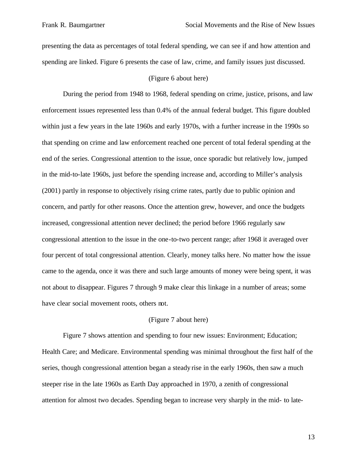presenting the data as percentages of total federal spending, we can see if and how attention and spending are linked. Figure 6 presents the case of law, crime, and family issues just discussed.

#### (Figure 6 about here)

During the period from 1948 to 1968, federal spending on crime, justice, prisons, and law enforcement issues represented less than 0.4% of the annual federal budget. This figure doubled within just a few years in the late 1960s and early 1970s, with a further increase in the 1990s so that spending on crime and law enforcement reached one percent of total federal spending at the end of the series. Congressional attention to the issue, once sporadic but relatively low, jumped in the mid-to-late 1960s, just before the spending increase and, according to Miller's analysis (2001) partly in response to objectively rising crime rates, partly due to public opinion and concern, and partly for other reasons. Once the attention grew, however, and once the budgets increased, congressional attention never declined; the period before 1966 regularly saw congressional attention to the issue in the one-to-two percent range; after 1968 it averaged over four percent of total congressional attention. Clearly, money talks here. No matter how the issue came to the agenda, once it was there and such large amounts of money were being spent, it was not about to disappear. Figures 7 through 9 make clear this linkage in a number of areas; some have clear social movement roots, others not.

#### (Figure 7 about here)

Figure 7 shows attention and spending to four new issues: Environment; Education; Health Care; and Medicare. Environmental spending was minimal throughout the first half of the series, though congressional attention began a steady rise in the early 1960s, then saw a much steeper rise in the late 1960s as Earth Day approached in 1970, a zenith of congressional attention for almost two decades. Spending began to increase very sharply in the mid- to late-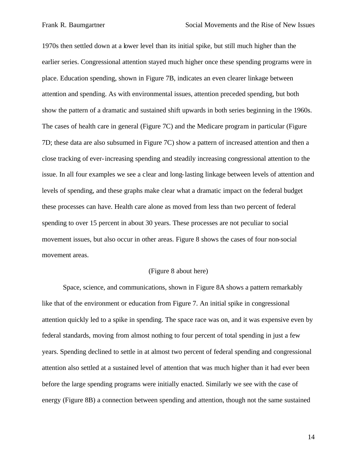1970s then settled down at a lower level than its initial spike, but still much higher than the earlier series. Congressional attention stayed much higher once these spending programs were in place. Education spending, shown in Figure 7B, indicates an even clearer linkage between attention and spending. As with environmental issues, attention preceded spending, but both show the pattern of a dramatic and sustained shift upwards in both series beginning in the 1960s. The cases of health care in general (Figure 7C) and the Medicare program in particular (Figure 7D; these data are also subsumed in Figure 7C) show a pattern of increased attention and then a close tracking of ever-increasing spending and steadily increasing congressional attention to the issue. In all four examples we see a clear and long-lasting linkage between levels of attention and levels of spending, and these graphs make clear what a dramatic impact on the federal budget these processes can have. Health care alone as moved from less than two percent of federal spending to over 15 percent in about 30 years. These processes are not peculiar to social movement issues, but also occur in other areas. Figure 8 shows the cases of four non-social movement areas.

#### (Figure 8 about here)

Space, science, and communications, shown in Figure 8A shows a pattern remarkably like that of the environment or education from Figure 7. An initial spike in congressional attention quickly led to a spike in spending. The space race was on, and it was expensive even by federal standards, moving from almost nothing to four percent of total spending in just a few years. Spending declined to settle in at almost two percent of federal spending and congressional attention also settled at a sustained level of attention that was much higher than it had ever been before the large spending programs were initially enacted. Similarly we see with the case of energy (Figure 8B) a connection between spending and attention, though not the same sustained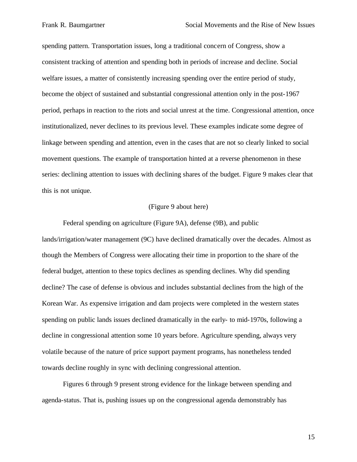spending pattern. Transportation issues, long a traditional concern of Congress, show a consistent tracking of attention and spending both in periods of increase and decline. Social welfare issues, a matter of consistently increasing spending over the entire period of study, become the object of sustained and substantial congressional attention only in the post-1967 period, perhaps in reaction to the riots and social unrest at the time. Congressional attention, once institutionalized, never declines to its previous level. These examples indicate some degree of linkage between spending and attention, even in the cases that are not so clearly linked to social movement questions. The example of transportation hinted at a reverse phenomenon in these series: declining attention to issues with declining shares of the budget. Figure 9 makes clear that this is not unique.

### (Figure 9 about here)

Federal spending on agriculture (Figure 9A), defense (9B), and public lands/irrigation/water management (9C) have declined dramatically over the decades. Almost as though the Members of Congress were allocating their time in proportion to the share of the federal budget, attention to these topics declines as spending declines. Why did spending decline? The case of defense is obvious and includes substantial declines from the high of the Korean War. As expensive irrigation and dam projects were completed in the western states spending on public lands issues declined dramatically in the early- to mid-1970s, following a decline in congressional attention some 10 years before. Agriculture spending, always very volatile because of the nature of price support payment programs, has nonetheless tended towards decline roughly in sync with declining congressional attention.

Figures 6 through 9 present strong evidence for the linkage between spending and agenda-status. That is, pushing issues up on the congressional agenda demonstrably has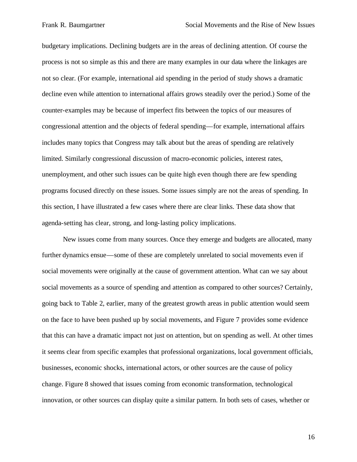budgetary implications. Declining budgets are in the areas of declining attention. Of course the process is not so simple as this and there are many examples in our data where the linkages are not so clear. (For example, international aid spending in the period of study shows a dramatic decline even while attention to international affairs grows steadily over the period.) Some of the counter-examples may be because of imperfect fits between the topics of our measures of congressional attention and the objects of federal spending—for example, international affairs includes many topics that Congress may talk about but the areas of spending are relatively limited. Similarly congressional discussion of macro-economic policies, interest rates, unemployment, and other such issues can be quite high even though there are few spending programs focused directly on these issues. Some issues simply are not the areas of spending. In this section, I have illustrated a few cases where there are clear links. These data show that agenda-setting has clear, strong, and long-lasting policy implications.

New issues come from many sources. Once they emerge and budgets are allocated, many further dynamics ensue—some of these are completely unrelated to social movements even if social movements were originally at the cause of government attention. What can we say about social movements as a source of spending and attention as compared to other sources? Certainly, going back to Table 2, earlier, many of the greatest growth areas in public attention would seem on the face to have been pushed up by social movements, and Figure 7 provides some evidence that this can have a dramatic impact not just on attention, but on spending as well. At other times it seems clear from specific examples that professional organizations, local government officials, businesses, economic shocks, international actors, or other sources are the cause of policy change. Figure 8 showed that issues coming from economic transformation, technological innovation, or other sources can display quite a similar pattern. In both sets of cases, whether or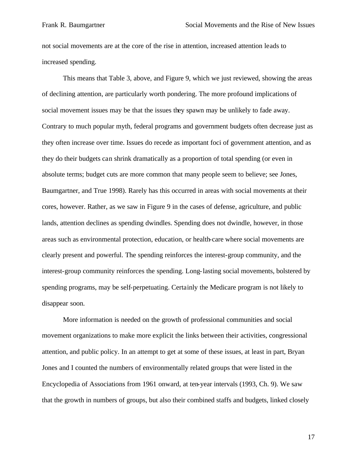not social movements are at the core of the rise in attention, increased attention leads to increased spending.

This means that Table 3, above, and Figure 9, which we just reviewed, showing the areas of declining attention, are particularly worth pondering. The more profound implications of social movement issues may be that the issues they spawn may be unlikely to fade away. Contrary to much popular myth, federal programs and government budgets often decrease just as they often increase over time. Issues do recede as important foci of government attention, and as they do their budgets can shrink dramatically as a proportion of total spending (or even in absolute terms; budget cuts are more common that many people seem to believe; see Jones, Baumgartner, and True 1998). Rarely has this occurred in areas with social movements at their cores, however. Rather, as we saw in Figure 9 in the cases of defense, agriculture, and public lands, attention declines as spending dwindles. Spending does not dwindle, however, in those areas such as environmental protection, education, or health-care where social movements are clearly present and powerful. The spending reinforces the interest-group community, and the interest-group community reinforces the spending. Long-lasting social movements, bolstered by spending programs, may be self-perpetuating. Certainly the Medicare program is not likely to disappear soon.

More information is needed on the growth of professional communities and social movement organizations to make more explicit the links between their activities, congressional attention, and public policy. In an attempt to get at some of these issues, at least in part, Bryan Jones and I counted the numbers of environmentally related groups that were listed in the Encyclopedia of Associations from 1961 onward, at ten-year intervals (1993, Ch. 9). We saw that the growth in numbers of groups, but also their combined staffs and budgets, linked closely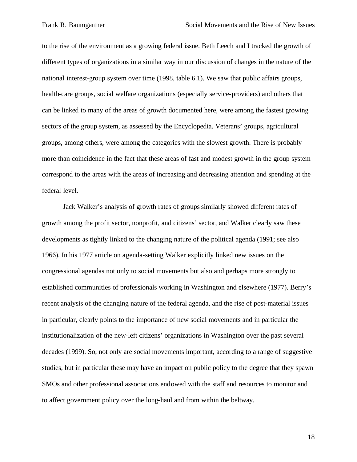to the rise of the environment as a growing federal issue. Beth Leech and I tracked the growth of different types of organizations in a similar way in our discussion of changes in the nature of the national interest-group system over time (1998, table 6.1). We saw that public affairs groups, health-care groups, social welfare organizations (especially service-providers) and others that can be linked to many of the areas of growth documented here, were among the fastest growing sectors of the group system, as assessed by the Encyclopedia. Veterans' groups, agricultural groups, among others, were among the categories with the slowest growth. There is probably more than coincidence in the fact that these areas of fast and modest growth in the group system correspond to the areas with the areas of increasing and decreasing attention and spending at the federal level.

Jack Walker's analysis of growth rates of groups similarly showed different rates of growth among the profit sector, nonprofit, and citizens' sector, and Walker clearly saw these developments as tightly linked to the changing nature of the political agenda (1991; see also 1966). In his 1977 article on agenda-setting Walker explicitly linked new issues on the congressional agendas not only to social movements but also and perhaps more strongly to established communities of professionals working in Washington and elsewhere (1977). Berry's recent analysis of the changing nature of the federal agenda, and the rise of post-material issues in particular, clearly points to the importance of new social movements and in particular the institutionalization of the new-left citizens' organizations in Washington over the past several decades (1999). So, not only are social movements important, according to a range of suggestive studies, but in particular these may have an impact on public policy to the degree that they spawn SMOs and other professional associations endowed with the staff and resources to monitor and to affect government policy over the long-haul and from within the beltway.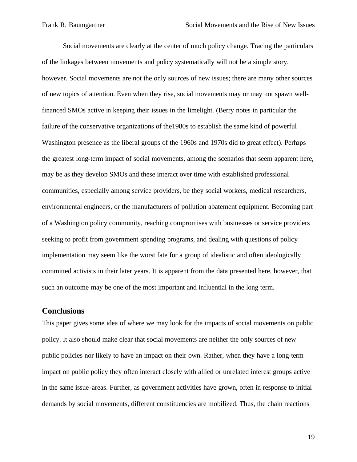Social movements are clearly at the center of much policy change. Tracing the particulars of the linkages between movements and policy systematically will not be a simple story, however. Social movements are not the only sources of new issues; there are many other sources of new topics of attention. Even when they rise, social movements may or may not spawn wellfinanced SMOs active in keeping their issues in the limelight. (Berry notes in particular the failure of the conservative organizations of the1980s to establish the same kind of powerful Washington presence as the liberal groups of the 1960s and 1970s did to great effect). Perhaps the greatest long-term impact of social movements, among the scenarios that seem apparent here, may be as they develop SMOs and these interact over time with established professional communities, especially among service providers, be they social workers, medical researchers, environmental engineers, or the manufacturers of pollution abatement equipment. Becoming part of a Washington policy community, reaching compromises with businesses or service providers seeking to profit from government spending programs, and dealing with questions of policy implementation may seem like the worst fate for a group of idealistic and often ideologically committed activists in their later years. It is apparent from the data presented here, however, that such an outcome may be one of the most important and influential in the long term.

### **Conclusions**

This paper gives some idea of where we may look for the impacts of social movements on public policy. It also should make clear that social movements are neither the only sources of new public policies nor likely to have an impact on their own. Rather, when they have a long-term impact on public policy they often interact closely with allied or unrelated interest groups active in the same issue-areas. Further, as government activities have grown, often in response to initial demands by social movements, different constituencies are mobilized. Thus, the chain reactions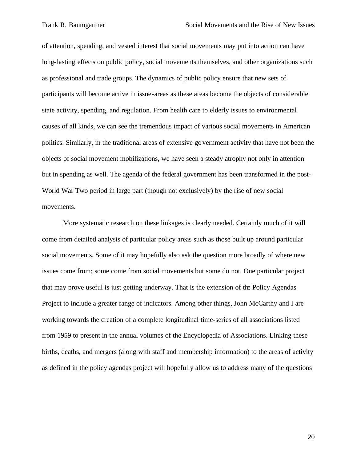of attention, spending, and vested interest that social movements may put into action can have long-lasting effects on public policy, social movements themselves, and other organizations such as professional and trade groups. The dynamics of public policy ensure that new sets of participants will become active in issue-areas as these areas become the objects of considerable state activity, spending, and regulation. From health care to elderly issues to environmental causes of all kinds, we can see the tremendous impact of various social movements in American politics. Similarly, in the traditional areas of extensive government activity that have not been the objects of social movement mobilizations, we have seen a steady atrophy not only in attention but in spending as well. The agenda of the federal government has been transformed in the post-World War Two period in large part (though not exclusively) by the rise of new social movements.

More systematic research on these linkages is clearly needed. Certainly much of it will come from detailed analysis of particular policy areas such as those built up around particular social movements. Some of it may hopefully also ask the question more broadly of where new issues come from; some come from social movements but some do not. One particular project that may prove useful is just getting underway. That is the extension of the Policy Agendas Project to include a greater range of indicators. Among other things, John McCarthy and I are working towards the creation of a complete longitudinal time-series of all associations listed from 1959 to present in the annual volumes of the Encyclopedia of Associations. Linking these births, deaths, and mergers (along with staff and membership information) to the areas of activity as defined in the policy agendas project will hopefully allow us to address many of the questions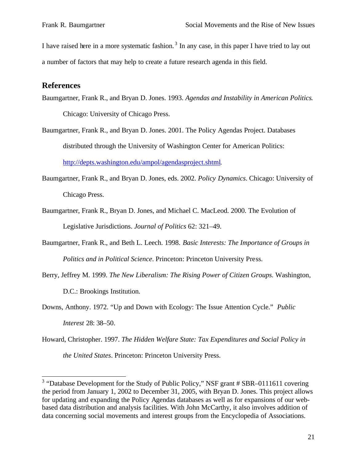I have raised here in a more systematic fashion.<sup>3</sup> In any case, in this paper I have tried to lay out a number of factors that may help to create a future research agenda in this field.

## **References**

- Baumgartner, Frank R., and Bryan D. Jones. 1993. *Agendas and Instability in American Politics*. Chicago: University of Chicago Press.
- Baumgartner, Frank R., and Bryan D. Jones. 2001. The Policy Agendas Project. Databases distributed through the University of Washington Center for American Politics: http://depts.washington.edu/ampol/agendasproject.shtml.
- Baumgartner, Frank R., and Bryan D. Jones, eds. 2002. *Policy Dynamics*. Chicago: University of Chicago Press.
- Baumgartner, Frank R., Bryan D. Jones, and Michael C. MacLeod. 2000. The Evolution of Legislative Jurisdictions. *Journal of Politics* 62: 321–49.
- Baumgartner, Frank R., and Beth L. Leech. 1998. *Basic Interests: The Importance of Groups in Politics and in Political Science*. Princeton: Princeton University Press.
- Berry, Jeffrey M. 1999. *The New Liberalism: The Rising Power of Citizen Groups.* Washington, D.C.: Brookings Institution.
- Downs, Anthony. 1972. "Up and Down with Ecology: The Issue Attention Cycle." *Public Interest* 28: 38–50.
- Howard, Christopher. 1997. *The Hidden Welfare State: Tax Expenditures and Social Policy in the United States*. Princeton: Princeton University Press.

<sup>&</sup>lt;sup>3</sup> "Database Development for the Study of Public Policy," NSF grant # SBR-0111611 covering the period from January 1, 2002 to December 31, 2005, with Bryan D. Jones. This project allows for updating and expanding the Policy Agendas databases as well as for expansions of our webbased data distribution and analysis facilities. With John McCarthy, it also involves addition of data concerning social movements and interest groups from the Encyclopedia of Associations.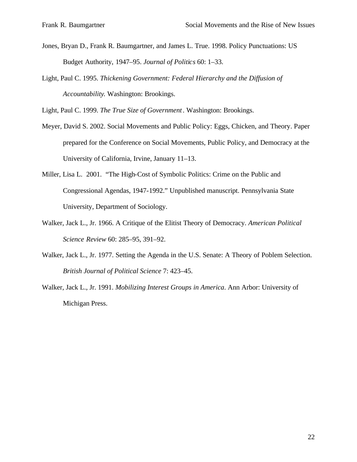- Jones, Bryan D., Frank R. Baumgartner, and James L. True. 1998. Policy Punctuations: US Budget Authority, 1947–95. *Journal of Politics* 60: 1–33.
- Light, Paul C. 1995. *Thickening Government: Federal Hierarchy and the Diffusion of Accountability*. Washington: Brookings.

Light, Paul C. 1999. *The True Size of Government*. Washington: Brookings.

- Meyer, David S. 2002. Social Movements and Public Policy: Eggs, Chicken, and Theory. Paper prepared for the Conference on Social Movements, Public Policy, and Democracy at the University of California, Irvine, January 11–13.
- Miller, Lisa L. 2001. "The High-Cost of Symbolic Politics: Crime on the Public and Congressional Agendas, 1947-1992." Unpublished manuscript. Pennsylvania State University, Department of Sociology.
- Walker, Jack L., Jr. 1966. A Critique of the Elitist Theory of Democracy. *American Political Science Review* 60: 285–95, 391–92.
- Walker, Jack L., Jr. 1977. Setting the Agenda in the U.S. Senate: A Theory of Poblem Selection. *British Journal of Political Science* 7: 423–45.
- Walker, Jack L., Jr. 1991. *Mobilizing Interest Groups in America*. Ann Arbor: University of Michigan Press.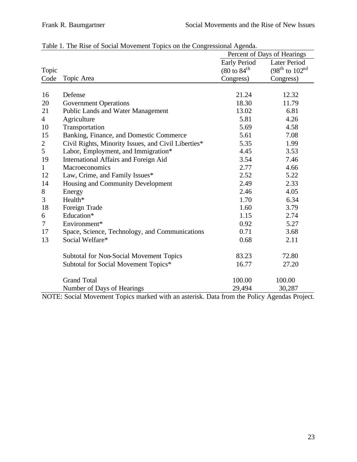|                |                                                     | Percent of Days of Hearings       |                          |  |  |
|----------------|-----------------------------------------------------|-----------------------------------|--------------------------|--|--|
|                |                                                     | <b>Early Period</b>               | <b>Later Period</b>      |  |  |
| Topic          |                                                     | $(80 \text{ to } 84^{\text{th}})$ | $(98^{th}$ to $102^{nd}$ |  |  |
| Code           | Topic Area                                          | Congress)                         | Congress)                |  |  |
|                |                                                     |                                   |                          |  |  |
| 16             | Defense                                             | 21.24                             | 12.32                    |  |  |
| 20             | <b>Government Operations</b>                        | 18.30                             | 11.79                    |  |  |
| 21             | Public Lands and Water Management                   | 13.02                             | 6.81                     |  |  |
| $\overline{4}$ | Agriculture                                         | 5.81                              | 4.26                     |  |  |
| 10             | Transportation                                      | 5.69                              | 4.58                     |  |  |
| 15             | Banking, Finance, and Domestic Commerce             | 5.61                              | 7.08                     |  |  |
| $\overline{2}$ | Civil Rights, Minority Issues, and Civil Liberties* | 5.35                              | 1.99                     |  |  |
| 5              | Labor, Employment, and Immigration*                 | 4.45                              | 3.53                     |  |  |
| 19             | International Affairs and Foreign Aid               | 3.54                              | 7.46                     |  |  |
| $\mathbf{1}$   | Macroeconomics                                      | 2.77                              | 4.66                     |  |  |
| 12             | Law, Crime, and Family Issues*                      | 2.52                              | 5.22                     |  |  |
| 14             | Housing and Community Development                   | 2.49                              | 2.33                     |  |  |
| 8              | Energy                                              | 2.46                              | 4.05                     |  |  |
| 3              | Health*                                             | 1.70                              | 6.34                     |  |  |
| 18             | Foreign Trade                                       | 1.60                              | 3.79                     |  |  |
| 6              | Education*                                          | 1.15                              | 2.74                     |  |  |
| 7              | Environment*                                        | 0.92                              | 5.27                     |  |  |
| 17             | Space, Science, Technology, and Communications      | 0.71                              | 3.68                     |  |  |
| 13             | Social Welfare*                                     | 0.68                              | 2.11                     |  |  |
|                | Subtotal for Non-Social Movement Topics             | 83.23                             | 72.80                    |  |  |
|                | Subtotal for Social Movement Topics*                | 16.77                             | 27.20                    |  |  |
|                | <b>Grand Total</b>                                  | 100.00                            | 100.00                   |  |  |
|                | Number of Days of Hearings                          | 29,494                            | 30,287                   |  |  |

Table 1. The Rise of Social Movement Topics on the Congressional Agenda.

NOTE: Social Movement Topics marked with an asterisk. Data from the Policy Agendas Project.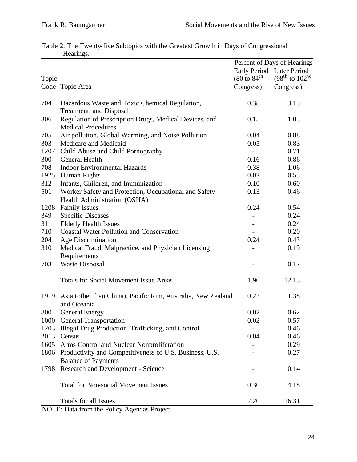|       |                                                                                     | Percent of Days of Hearings                |                          |  |  |
|-------|-------------------------------------------------------------------------------------|--------------------------------------------|--------------------------|--|--|
|       |                                                                                     | <b>Early Period</b><br><b>Later Period</b> |                          |  |  |
| Topic |                                                                                     | $(80 \text{ to } 84^{\text{th}})$          | $(98^{th}$ to $102^{nd}$ |  |  |
|       | Code Topic Area                                                                     | Congress)                                  | Congress)                |  |  |
|       |                                                                                     |                                            |                          |  |  |
| 704   | Hazardous Waste and Toxic Chemical Regulation,<br>Treatment, and Disposal           | 0.38                                       | 3.13                     |  |  |
| 306   | Regulation of Prescription Drugs, Medical Devices, and<br><b>Medical Procedures</b> | 0.15                                       | 1.03                     |  |  |
| 705   | Air pollution, Global Warming, and Noise Pollution                                  | 0.04                                       | 0.88                     |  |  |
| 303   | Medicare and Medicaid                                                               | 0.05                                       | 0.83                     |  |  |
| 1207  | Child Abuse and Child Pornography                                                   | $\overline{\phantom{a}}$                   | 0.71                     |  |  |
| 300   | General Health                                                                      | 0.16                                       | 0.86                     |  |  |
| 708   | <b>Indoor Environmental Hazards</b>                                                 | 0.38                                       | 1.06                     |  |  |
| 1925  | Human Rights                                                                        | 0.02                                       | 0.55                     |  |  |
| 312   | Infants, Children, and Immunization                                                 | 0.10                                       | 0.60                     |  |  |
| 501   | Worker Safety and Protection, Occupational and Safety                               | 0.13                                       | 0.46                     |  |  |
|       | Health Administration (OSHA)                                                        |                                            |                          |  |  |
| 1208  | <b>Family Issues</b>                                                                | 0.24                                       | 0.54                     |  |  |
| 349   | <b>Specific Diseases</b>                                                            |                                            | 0.24                     |  |  |
| 311   | <b>Elderly Health Issues</b>                                                        |                                            | 0.24                     |  |  |
| 710   | <b>Coastal Water Pollution and Conservation</b>                                     |                                            | 0.20                     |  |  |
| 204   | Age Discrimination                                                                  | 0.24                                       | 0.43                     |  |  |
| 310   | Medical Fraud, Malpractice, and Physician Licensing                                 |                                            | 0.19                     |  |  |
|       | Requirements                                                                        |                                            |                          |  |  |
| 703   | <b>Waste Disposal</b>                                                               |                                            | 0.17                     |  |  |
|       |                                                                                     |                                            |                          |  |  |
|       | <b>Totals for Social Movement Issue Areas</b>                                       | 1.90                                       | 12.13                    |  |  |
| 1919  | Asia (other than China), Pacific Rim, Australia, New Zealand                        | 0.22                                       | 1.38                     |  |  |
|       | and Oceania                                                                         |                                            |                          |  |  |
| 800   | <b>General Energy</b>                                                               | 0.02                                       | 0.62                     |  |  |
|       | 1000 General Transportation                                                         | 0.02                                       | 0.57                     |  |  |
| 1203  | Illegal Drug Production, Trafficking, and Control                                   |                                            | 0.46                     |  |  |
| 2013  | Census                                                                              | 0.04                                       | 0.46                     |  |  |
| 1605  | Arms Control and Nuclear Nonproliferation                                           |                                            | 0.29                     |  |  |
| 1806  | Productivity and Competitiveness of U.S. Business, U.S.                             |                                            | 0.27                     |  |  |
|       | <b>Balance of Payments</b>                                                          |                                            |                          |  |  |
| 1798  | <b>Research and Development - Science</b>                                           |                                            | 0.14                     |  |  |
|       | <b>Total for Non-social Movement Issues</b>                                         | 0.30                                       | 4.18                     |  |  |
|       | Totals for all Issues                                                               | 2.20                                       | 16.31                    |  |  |

|           | Table 2. The Twenty-five Subtopics with the Greatest Growth in Days of Congressional |  |  |  |
|-----------|--------------------------------------------------------------------------------------|--|--|--|
| Hearings. |                                                                                      |  |  |  |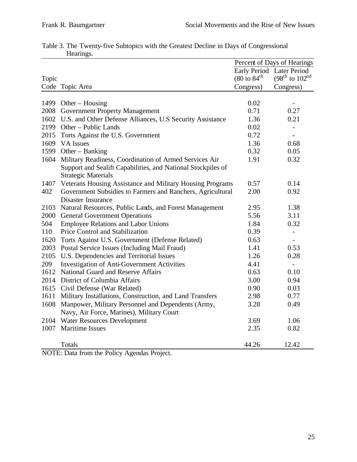|       |                                                                | Percent of Days of Hearings       |                          |  |  |
|-------|----------------------------------------------------------------|-----------------------------------|--------------------------|--|--|
|       |                                                                | <b>Early Period</b>               | Later Period             |  |  |
| Topic |                                                                | $(80 \text{ to } 84^{\text{th}})$ | $(98^{th}$ to $102^{nd}$ |  |  |
|       | Code Topic Area                                                | Congress)                         | Congress)                |  |  |
|       |                                                                |                                   |                          |  |  |
| 1499  | Other $-$ Housing                                              | 0.02                              |                          |  |  |
|       | 2008 Government Property Management                            | 0.71                              | 0.27                     |  |  |
|       | 1602 U.S. and Other Defense Alliances, U.S Security Assistance | 1.36                              | 0.21                     |  |  |
|       | 2199 Other - Public Lands                                      | 0.02                              | $\overline{\phantom{0}}$ |  |  |
|       | 2015 Torts Against the U.S. Government                         | 0.72                              | $\overline{\phantom{0}}$ |  |  |
|       | 1609 VA Issues                                                 | 1.36                              | 0.68                     |  |  |
|       | 1599 Other - Banking                                           | 0.32                              | 0.05                     |  |  |
| 1604  | Military Readiness, Coordination of Armed Services Air         | 1.91                              | 0.32                     |  |  |
|       | Support and Sealift Capabilities, and National Stockpiles of   |                                   |                          |  |  |
|       | <b>Strategic Materials</b>                                     |                                   |                          |  |  |
| 1407  | Veterans Housing Assistance and Military Housing Programs      | 0.57                              | 0.14                     |  |  |
| 402   | Government Subsidies to Farmers and Ranchers, Agricultural     | 2.00                              | 0.92                     |  |  |
|       | <b>Disaster Insurance</b>                                      |                                   |                          |  |  |
| 2103  | Natural Resources, Public Lands, and Forest Management         | 2.95                              | 1.38                     |  |  |
| 2000  | <b>General Government Operations</b>                           | 5.56                              | 3.11                     |  |  |
| 504   | <b>Employee Relations and Labor Unions</b>                     | 1.84                              | 0.32                     |  |  |
| 110   | Price Control and Stabilization                                | 0.39                              | $\overline{a}$           |  |  |
|       | 1620 Torts Against U.S. Government (Defense Related)           | 0.63                              | $\overline{a}$           |  |  |
|       | 2003 Postal Service Issues (Including Mail Fraud)              | 1.41                              | 0.53                     |  |  |
|       | 2105 U.S. Dependencies and Territorial Issues                  | 1.26                              | 0.28                     |  |  |
| 209   | Investigation of Anti-Government Activities                    | 4.41                              | $\overline{\phantom{0}}$ |  |  |
|       | 1612 National Guard and Reserve Affairs                        | 0.63                              | 0.10                     |  |  |
|       | 2014 District of Columbia Affairs                              | 3.00                              | 0.94                     |  |  |
|       | 1615 Civil Defense (War Related)                               | 0.90                              | 0.03                     |  |  |
| 1611  | Military Installations, Construction, and Land Transfers       | 2.98                              | 0.77                     |  |  |
| 1608  | Manpower, Military Personnel and Dependents (Army,             | 3.28                              | 0.49                     |  |  |
|       | Navy, Air Force, Marines), Military Court                      |                                   |                          |  |  |
|       | 2104 Water Resources Development                               | 3.69                              | 1.06                     |  |  |
| 1007  | <b>Maritime Issues</b>                                         | 2.35                              | 0.82                     |  |  |
|       |                                                                |                                   |                          |  |  |
|       | Totals                                                         | 44.26                             | 12.42                    |  |  |

|  |           | Table 3. The Twenty-five Subtopics with the Greatest Decline in Days of Congressional |  |  |  |  |
|--|-----------|---------------------------------------------------------------------------------------|--|--|--|--|
|  | Hearings. |                                                                                       |  |  |  |  |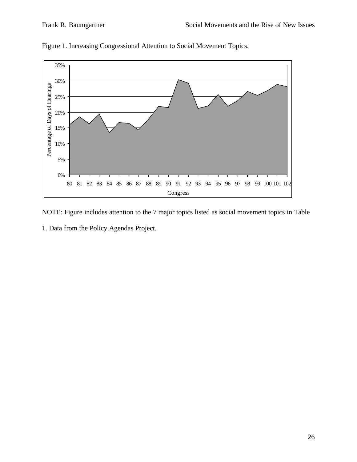

Figure 1. Increasing Congressional Attention to Social Movement Topics.

- NOTE: Figure includes attention to the 7 major topics listed as social movement topics in Table
- 1. Data from the Policy Agendas Project.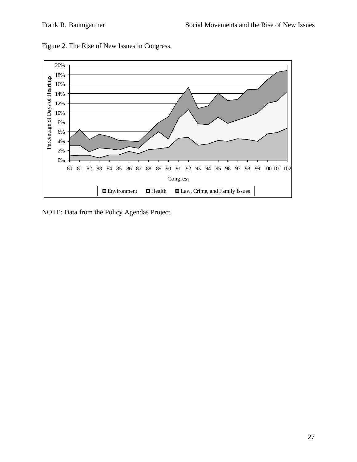

Figure 2. The Rise of New Issues in Congress.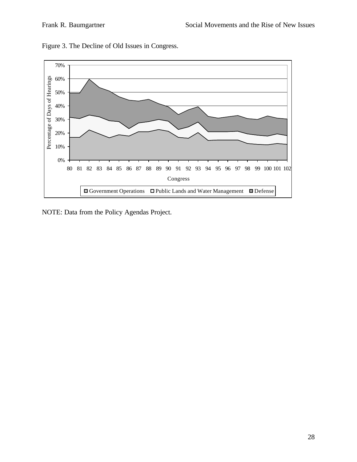

Figure 3. The Decline of Old Issues in Congress.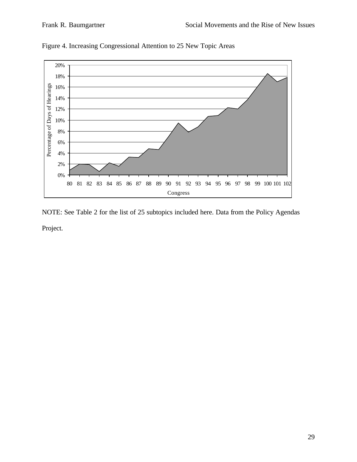

Figure 4. Increasing Congressional Attention to 25 New Topic Areas

NOTE: See Table 2 for the list of 25 subtopics included here. Data from the Policy Agendas

Project.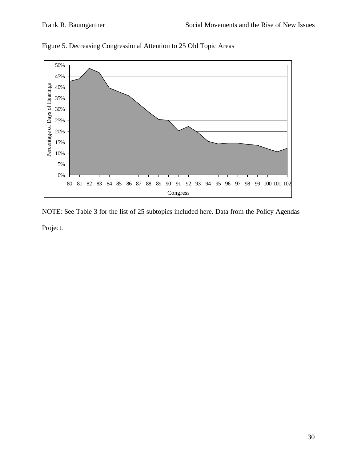

Figure 5. Decreasing Congressional Attention to 25 Old Topic Areas

NOTE: See Table 3 for the list of 25 subtopics included here. Data from the Policy Agendas

Project.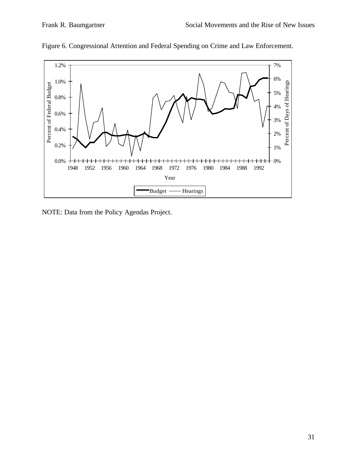

Figure 6. Congressional Attention and Federal Spending on Crime and Law Enforcement.

NOTE: Data from the Policy Agendas Project.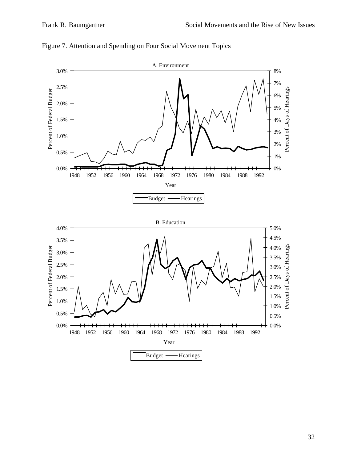

Figure 7. Attention and Spending on Four Social Movement Topics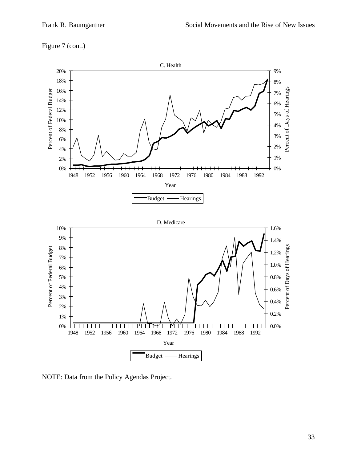



NOTE: Data from the Policy Agendas Project.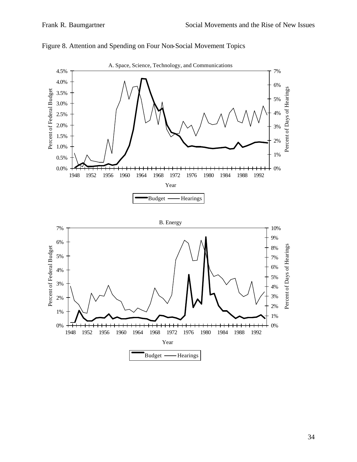

## Figure 8. Attention and Spending on Four Non-Social Movement Topics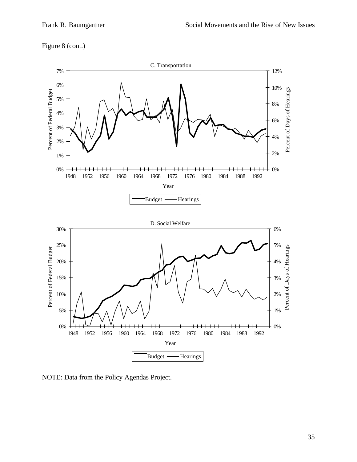



NOTE: Data from the Policy Agendas Project.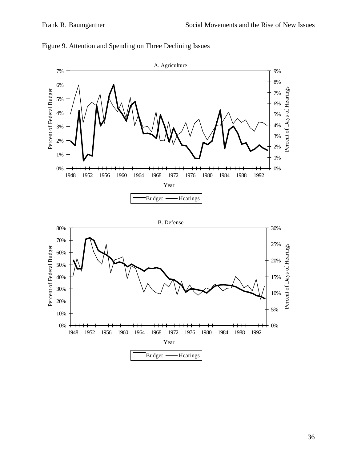